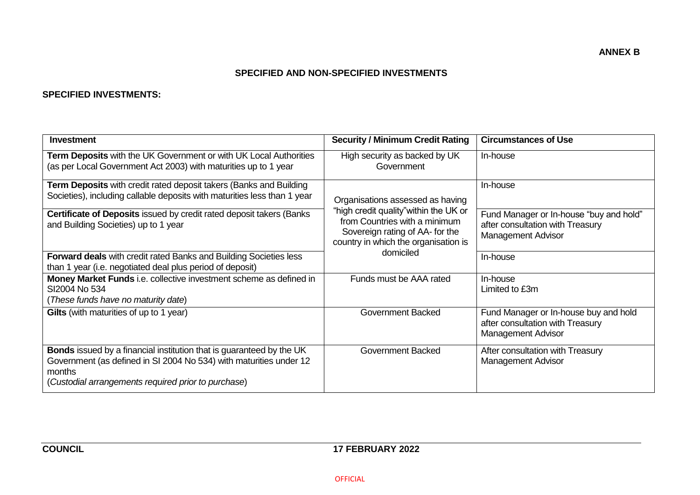### **SPECIFIED AND NON-SPECIFIED INVESTMENTS**

#### **SPECIFIED INVESTMENTS:**

| Investment                                                                                                                                                                                                         | <b>Security / Minimum Credit Rating</b>                                                                                                            | <b>Circumstances of Use</b>                                                                       |
|--------------------------------------------------------------------------------------------------------------------------------------------------------------------------------------------------------------------|----------------------------------------------------------------------------------------------------------------------------------------------------|---------------------------------------------------------------------------------------------------|
| Term Deposits with the UK Government or with UK Local Authorities<br>(as per Local Government Act 2003) with maturities up to 1 year                                                                               | High security as backed by UK<br>Government                                                                                                        | In-house                                                                                          |
| <b>Term Deposits</b> with credit rated deposit takers (Banks and Building<br>Societies), including callable deposits with maturities less than 1 year                                                              | Organisations assessed as having                                                                                                                   | In-house                                                                                          |
| <b>Certificate of Deposits issued by credit rated deposit takers (Banks)</b><br>and Building Societies) up to 1 year                                                                                               | "high credit quality" within the UK or<br>from Countries with a minimum<br>Sovereign rating of AA- for the<br>country in which the organisation is | Fund Manager or In-house "buy and hold"<br>after consultation with Treasury<br>Management Advisor |
| <b>Forward deals</b> with credit rated Banks and Building Societies less<br>than 1 year (i.e. negotiated deal plus period of deposit)                                                                              | domiciled                                                                                                                                          | In-house                                                                                          |
| Money Market Funds i.e. collective investment scheme as defined in<br>SI2004 No 534<br>(These funds have no maturity date)                                                                                         | Funds must be AAA rated                                                                                                                            | In-house<br>Limited to £3m                                                                        |
| Gilts (with maturities of up to 1 year)                                                                                                                                                                            | <b>Government Backed</b>                                                                                                                           | Fund Manager or In-house buy and hold<br>after consultation with Treasury<br>Management Advisor   |
| <b>Bonds</b> issued by a financial institution that is guaranteed by the UK<br>Government (as defined in SI 2004 No 534) with maturities under 12<br>months<br>(Custodial arrangements required prior to purchase) | <b>Government Backed</b>                                                                                                                           | After consultation with Treasury<br><b>Management Advisor</b>                                     |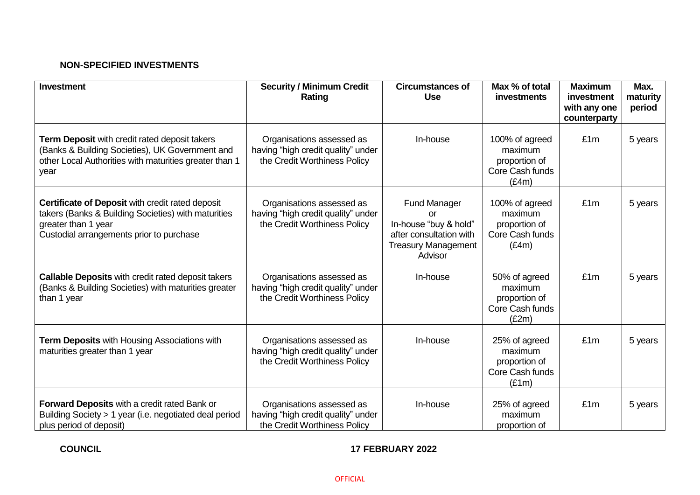## **NON-SPECIFIED INVESTMENTS**

| <b>Investment</b>                                                                                                                                                          | <b>Security / Minimum Credit</b><br>Rating                                                      | <b>Circumstances of</b><br><b>Use</b>                                                                                  | Max % of total<br>investments                                          | <b>Maximum</b><br>investment<br>with any one<br>counterparty | Max.<br>maturity<br>period |
|----------------------------------------------------------------------------------------------------------------------------------------------------------------------------|-------------------------------------------------------------------------------------------------|------------------------------------------------------------------------------------------------------------------------|------------------------------------------------------------------------|--------------------------------------------------------------|----------------------------|
| Term Deposit with credit rated deposit takers<br>(Banks & Building Societies), UK Government and<br>other Local Authorities with maturities greater than 1<br>year         | Organisations assessed as<br>having "high credit quality" under<br>the Credit Worthiness Policy | In-house                                                                                                               | 100% of agreed<br>maximum<br>proportion of<br>Core Cash funds<br>(E4m) | £1m                                                          | 5 years                    |
| Certificate of Deposit with credit rated deposit<br>takers (Banks & Building Societies) with maturities<br>greater than 1 year<br>Custodial arrangements prior to purchase | Organisations assessed as<br>having "high credit quality" under<br>the Credit Worthiness Policy | <b>Fund Manager</b><br>or<br>In-house "buy & hold"<br>after consultation with<br><b>Treasury Management</b><br>Advisor | 100% of agreed<br>maximum<br>proportion of<br>Core Cash funds<br>(E4m) | £1m                                                          | 5 years                    |
| Callable Deposits with credit rated deposit takers<br>(Banks & Building Societies) with maturities greater<br>than 1 year                                                  | Organisations assessed as<br>having "high credit quality" under<br>the Credit Worthiness Policy | In-house                                                                                                               | 50% of agreed<br>maximum<br>proportion of<br>Core Cash funds<br>(E2m)  | £1m                                                          | 5 years                    |
| Term Deposits with Housing Associations with<br>maturities greater than 1 year                                                                                             | Organisations assessed as<br>having "high credit quality" under<br>the Credit Worthiness Policy | In-house                                                                                                               | 25% of agreed<br>maximum<br>proportion of<br>Core Cash funds<br>(E1m)  | £1m                                                          | 5 years                    |
| Forward Deposits with a credit rated Bank or<br>Building Society > 1 year (i.e. negotiated deal period<br>plus period of deposit)                                          | Organisations assessed as<br>having "high credit quality" under<br>the Credit Worthiness Policy | In-house                                                                                                               | 25% of agreed<br>maximum<br>proportion of                              | £1m                                                          | 5 years                    |

# **COUNCIL** 17 FEBRUARY 2022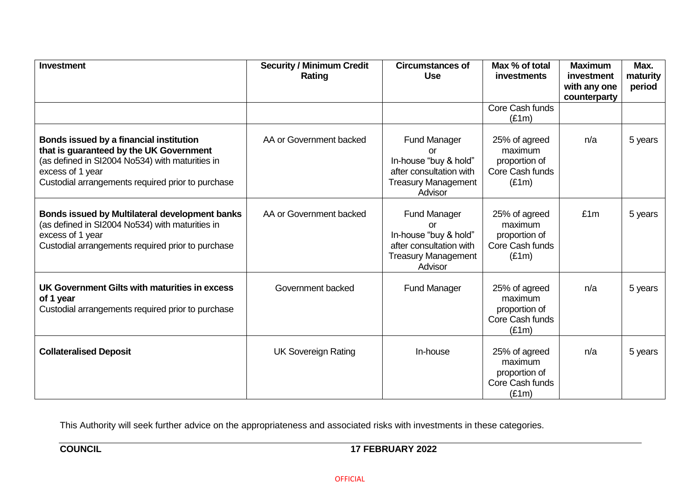| <b>Investment</b>                                                                                                                                                                                              | <b>Security / Minimum Credit</b><br>Rating | <b>Circumstances of</b><br><b>Use</b>                                                                                  | Max % of total<br><b>investments</b>                                  | <b>Maximum</b><br>investment<br>with any one<br>counterparty | Max.<br>maturity<br>period |
|----------------------------------------------------------------------------------------------------------------------------------------------------------------------------------------------------------------|--------------------------------------------|------------------------------------------------------------------------------------------------------------------------|-----------------------------------------------------------------------|--------------------------------------------------------------|----------------------------|
|                                                                                                                                                                                                                |                                            |                                                                                                                        | Core Cash funds<br>(E1m)                                              |                                                              |                            |
| Bonds issued by a financial institution<br>that is guaranteed by the UK Government<br>(as defined in SI2004 No534) with maturities in<br>excess of 1 year<br>Custodial arrangements required prior to purchase | AA or Government backed                    | <b>Fund Manager</b><br>or<br>In-house "buy & hold"<br>after consultation with<br><b>Treasury Management</b><br>Advisor | 25% of agreed<br>maximum<br>proportion of<br>Core Cash funds<br>(E1m) | n/a                                                          | 5 years                    |
| Bonds issued by Multilateral development banks<br>(as defined in SI2004 No534) with maturities in<br>excess of 1 year<br>Custodial arrangements required prior to purchase                                     | AA or Government backed                    | <b>Fund Manager</b><br>or<br>In-house "buy & hold"<br>after consultation with<br><b>Treasury Management</b><br>Advisor | 25% of agreed<br>maximum<br>proportion of<br>Core Cash funds<br>(E1m) | £1m                                                          | 5 years                    |
| UK Government Gilts with maturities in excess<br>of 1 year<br>Custodial arrangements required prior to purchase                                                                                                | Government backed                          | <b>Fund Manager</b>                                                                                                    | 25% of agreed<br>maximum<br>proportion of<br>Core Cash funds<br>(E1m) | n/a                                                          | 5 years                    |
| <b>Collateralised Deposit</b>                                                                                                                                                                                  | <b>UK Sovereign Rating</b>                 | In-house                                                                                                               | 25% of agreed<br>maximum<br>proportion of<br>Core Cash funds<br>(E1m) | n/a                                                          | 5 years                    |

This Authority will seek further advice on the appropriateness and associated risks with investments in these categories.

## **COUNCIL** 17 FEBRUARY 2022

OFFICIAL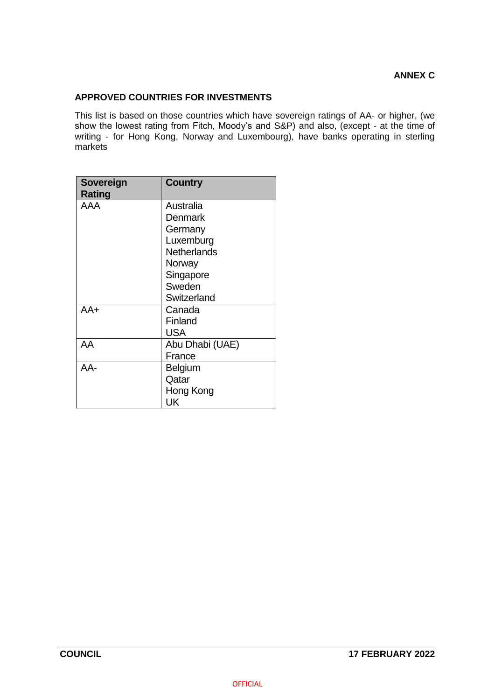#### **APPROVED COUNTRIES FOR INVESTMENTS**

This list is based on those countries which have sovereign ratings of AA- or higher, (we show the lowest rating from Fitch, Moody's and S&P) and also, (except - at the time of writing - for Hong Kong, Norway and Luxembourg), have banks operating in sterling markets

| Sovereign<br>Rating | <b>Country</b>  |
|---------------------|-----------------|
| AAA                 | Australia       |
|                     | Denmark         |
|                     | Germany         |
|                     | Luxemburg       |
|                     | Netherlands     |
|                     | Norway          |
|                     | Singapore       |
|                     | Sweden          |
|                     | Switzerland     |
| AA+                 | Canada          |
|                     | Finland         |
|                     | USA             |
| AA                  | Abu Dhabi (UAE) |
|                     | France          |
| AA-                 | Belgium         |
|                     | Qatar           |
|                     | Hong Kong       |
|                     | UK              |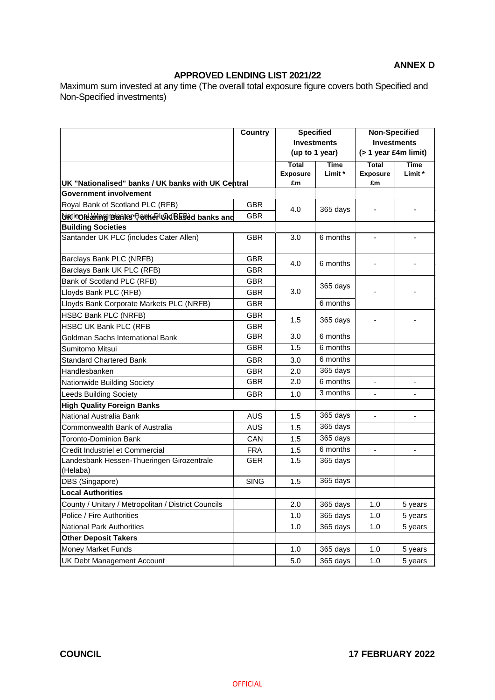### **ANNEX D**

## **APPROVED LENDING LIST 2021/22**

Maximum sum invested at any time (The overall total exposure figure covers both Specified and Non-Specified investments)

|                                                       | <b>Country</b> | <b>Specified</b><br><b>Investments</b> |             | <b>Non-Specified</b>    |                          |
|-------------------------------------------------------|----------------|----------------------------------------|-------------|-------------------------|--------------------------|
|                                                       |                |                                        |             | <b>Investments</b>      |                          |
|                                                       |                | (up to 1 year)                         |             | $($ > 1 year £4m limit) |                          |
|                                                       |                | <b>Total</b>                           | <b>Time</b> | <b>Total</b>            | <b>Time</b>              |
|                                                       |                | <b>Exposure</b>                        | Limit *     | <b>Exposure</b>         | Limit *                  |
| UK "Nationalised" banks / UK banks with UK Central    |                | £m                                     |             | £m                      |                          |
| Government involvement                                |                |                                        |             |                         |                          |
| Royal Bank of Scotland PLC (RFB)                      | <b>GBR</b>     | 4.0                                    | 365 days    |                         |                          |
| Urtional Meet Blanks Porker UK Based banks and        | <b>GBR</b>     |                                        |             |                         |                          |
| <b>Building Societies</b>                             |                |                                        |             |                         |                          |
| Santander UK PLC (includes Cater Allen)               | <b>GBR</b>     | 3.0                                    | 6 months    |                         |                          |
| Barclays Bank PLC (NRFB)                              | <b>GBR</b>     | 4.0                                    | 6 months    |                         |                          |
| Barclays Bank UK PLC (RFB)                            | <b>GBR</b>     |                                        |             |                         |                          |
| Bank of Scotland PLC (RFB)                            | <b>GBR</b>     |                                        |             |                         |                          |
| Lloyds Bank PLC (RFB)                                 | <b>GBR</b>     | 3.0                                    | 365 days    |                         |                          |
| Lloyds Bank Corporate Markets PLC (NRFB)              | <b>GBR</b>     |                                        | 6 months    |                         |                          |
| <b>HSBC Bank PLC (NRFB)</b>                           | <b>GBR</b>     | 1.5                                    | 365 days    |                         |                          |
| <b>HSBC UK Bank PLC (RFB</b>                          | <b>GBR</b>     |                                        |             |                         |                          |
| Goldman Sachs International Bank                      | <b>GBR</b>     | 3.0                                    | 6 months    |                         |                          |
| Sumitomo Mitsui                                       | <b>GBR</b>     | 1.5                                    | 6 months    |                         |                          |
| <b>Standard Chartered Bank</b>                        | <b>GBR</b>     | 3.0                                    | 6 months    |                         |                          |
| Handlesbanken                                         | <b>GBR</b>     | 2.0                                    | 365 days    |                         |                          |
| Nationwide Building Society                           | <b>GBR</b>     | 2.0                                    | 6 months    |                         |                          |
| <b>Leeds Building Society</b>                         | <b>GBR</b>     | 1.0                                    | 3 months    | $\blacksquare$          | $\overline{\phantom{0}}$ |
| <b>High Quality Foreign Banks</b>                     |                |                                        |             |                         |                          |
| National Australia Bank                               | <b>AUS</b>     | 1.5                                    | 365 days    |                         |                          |
| Commonwealth Bank of Australia                        | <b>AUS</b>     | 1.5                                    | 365 days    |                         |                          |
| Toronto-Dominion Bank                                 | CAN            | 1.5                                    | 365 days    |                         |                          |
| Credit Industriel et Commercial                       | <b>FRA</b>     | 1.5                                    | 6 months    |                         |                          |
| Landesbank Hessen-Thueringen Girozentrale<br>(Helaba) | <b>GER</b>     | 1.5                                    | 365 days    |                         |                          |
| DBS (Singapore)                                       | <b>SING</b>    | 1.5                                    | 365 days    |                         |                          |
| <b>Local Authorities</b>                              |                |                                        |             |                         |                          |
| County / Unitary / Metropolitan / District Councils   |                | 2.0                                    | 365 days    | 1.0                     | 5 years                  |
| Police / Fire Authorities                             |                | 1.0                                    | 365 days    | 1.0                     | 5 years                  |
| <b>National Park Authorities</b>                      |                | 1.0                                    | 365 days    | 1.0                     | 5 years                  |
| <b>Other Deposit Takers</b>                           |                |                                        |             |                         |                          |
| <b>Money Market Funds</b>                             |                | 1.0                                    | 365 days    | 1.0                     | 5 years                  |
| UK Debt Management Account                            |                | 5.0                                    | 365 days    | 1.0                     | 5 years                  |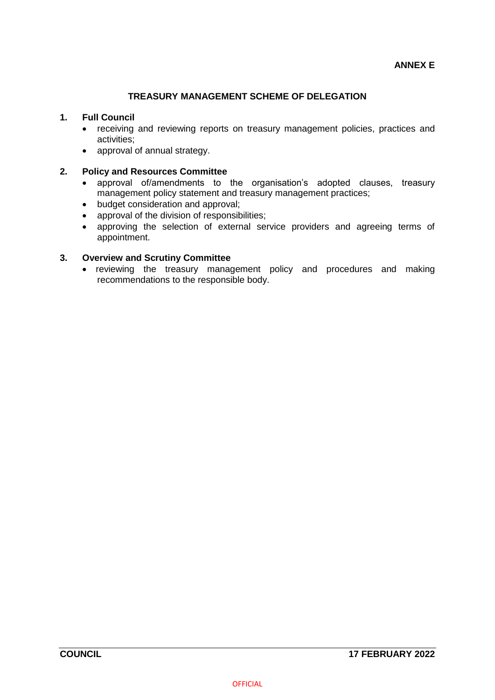#### **TREASURY MANAGEMENT SCHEME OF DELEGATION**

#### **1. Full Council**

- receiving and reviewing reports on treasury management policies, practices and activities;
- approval of annual strategy.

#### **2. Policy and Resources Committee**

- approval of/amendments to the organisation's adopted clauses, treasury management policy statement and treasury management practices;
- budget consideration and approval;
- approval of the division of responsibilities;
- approving the selection of external service providers and agreeing terms of appointment.

#### **3. Overview and Scrutiny Committee**

• reviewing the treasury management policy and procedures and making recommendations to the responsible body.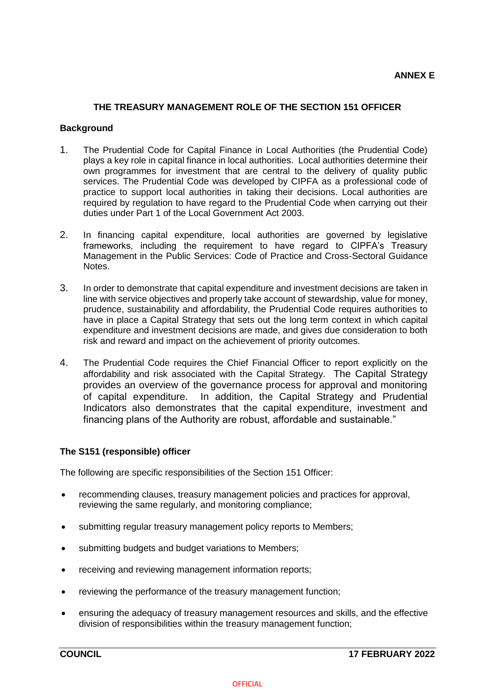#### **THE TREASURY MANAGEMENT ROLE OF THE SECTION 151 OFFICER**

#### **Background**

- 1. The Prudential Code for Capital Finance in Local Authorities (the Prudential Code) plays a key role in capital finance in local authorities. Local authorities determine their own programmes for investment that are central to the delivery of quality public services. The Prudential Code was developed by CIPFA as a professional code of practice to support local authorities in taking their decisions. Local authorities are required by regulation to have regard to the Prudential Code when carrying out their duties under Part 1 of the Local Government Act 2003.
- 2. In financing capital expenditure, local authorities are governed by legislative frameworks, including the requirement to have regard to CIPFA's Treasury Management in the Public Services: Code of Practice and Cross-Sectoral Guidance Notes.
- 3. In order to demonstrate that capital expenditure and investment decisions are taken in line with service objectives and properly take account of stewardship, value for money, prudence, sustainability and affordability, the Prudential Code requires authorities to have in place a Capital Strategy that sets out the long term context in which capital expenditure and investment decisions are made, and gives due consideration to both risk and reward and impact on the achievement of priority outcomes.
- 4. The Prudential Code requires the Chief Financial Officer to report explicitly on the affordability and risk associated with the Capital Strategy. The Capital Strategy provides an overview of the governance process for approval and monitoring of capital expenditure. In addition, the Capital Strategy and Prudential Indicators also demonstrates that the capital expenditure, investment and financing plans of the Authority are robust, affordable and sustainable."

#### **The S151 (responsible) officer**

The following are specific responsibilities of the Section 151 Officer:

- recommending clauses, treasury management policies and practices for approval, reviewing the same regularly, and monitoring compliance;
- submitting regular treasury management policy reports to Members;
- submitting budgets and budget variations to Members;
- receiving and reviewing management information reports;
- reviewing the performance of the treasury management function;
- ensuring the adequacy of treasury management resources and skills, and the effective division of responsibilities within the treasury management function;